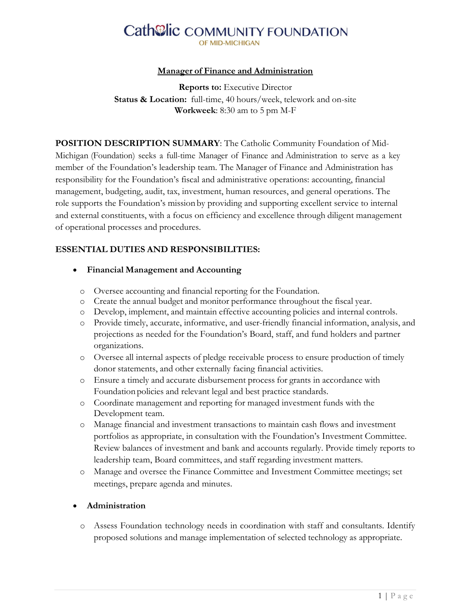# **Cath@lic COMMUNITY FOUNDATION**

#### **Manager of Finance and Administration**

**Reports to:** Executive Director **Status & Location:** full-time, 40 hours/week, telework and on-site **Workweek**: 8:30 am to 5 pm M-F

**POSITION DESCRIPTION SUMMARY**: The Catholic Community Foundation of Mid-Michigan (Foundation) seeks a full-time Manager of Finance and Administration to serve as a key member of the Foundation's leadership team. The Manager of Finance and Administration has responsibility for the Foundation's fiscal and administrative operations: accounting, financial management, budgeting, audit, tax, investment, human resources, and general operations. The role supports the Foundation's mission by providing and supporting excellent service to internal and external constituents, with a focus on efficiency and excellence through diligent management of operational processes and procedures.

### **ESSENTIAL DUTIES AND RESPONSIBILITIES:**

#### • **Financial Management and Accounting**

- o Oversee accounting and financial reporting for the Foundation.
- o Create the annual budget and monitor performance throughout the fiscal year.
- o Develop, implement, and maintain effective accounting policies and internal controls.
- o Provide timely, accurate, informative, and user-friendly financial information, analysis, and projections as needed for the Foundation's Board, staff, and fund holders and partner organizations.
- o Oversee all internal aspects of pledge receivable process to ensure production of timely donor statements, and other externally facing financial activities.
- o Ensure a timely and accurate disbursement process for grants in accordance with Foundation policies and relevant legal and best practice standards.
- o Coordinate management and reporting for managed investment funds with the Development team.
- o Manage financial and investment transactions to maintain cash flows and investment portfolios as appropriate, in consultation with the Foundation's Investment Committee. Review balances of investment and bank and accounts regularly. Provide timely reports to leadership team, Board committees, and staff regarding investment matters.
- o Manage and oversee the Finance Committee and Investment Committee meetings; set meetings, prepare agenda and minutes.

#### • **Administration**

o Assess Foundation technology needs in coordination with staff and consultants. Identify proposed solutions and manage implementation of selected technology as appropriate.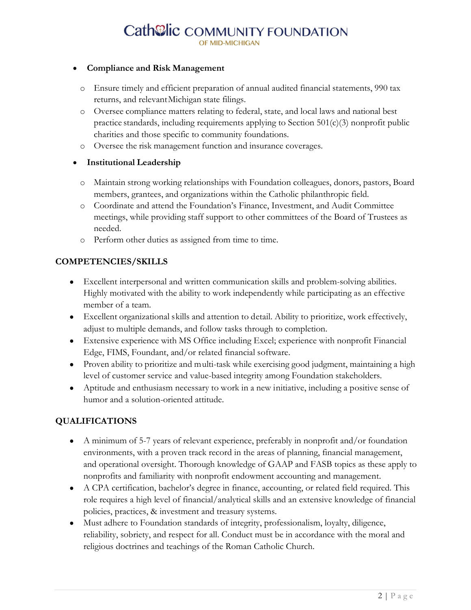# Cath@lic COMMUNITY FOUNDATION

#### • **Compliance and Risk Management**

- o Ensure timely and efficient preparation of annual audited financial statements, 990 tax returns, and relevantMichigan state filings.
- o Oversee compliance matters relating to federal, state, and local laws and national best practice standards, including requirements applying to Section 501(c)(3) nonprofit public charities and those specific to community foundations.
- o Oversee the risk management function and insurance coverages.

#### • **Institutional Leadership**

- o Maintain strong working relationships with Foundation colleagues, donors, pastors, Board members, grantees, and organizations within the Catholic philanthropic field.
- o Coordinate and attend the Foundation's Finance, Investment, and Audit Committee meetings, while providing staff support to other committees of the Board of Trustees as needed.
- o Perform other duties as assigned from time to time.

#### **COMPETENCIES/SKILLS**

- Excellent interpersonal and written communication skills and problem-solving abilities. Highly motivated with the ability to work independently while participating as an effective member of a team.
- Excellent organizational skills and attention to detail. Ability to prioritize, work effectively, adjust to multiple demands, and follow tasks through to completion.
- Extensive experience with MS Office including Excel; experience with nonprofit Financial Edge, FIMS, Foundant, and/or related financial software.
- Proven ability to prioritize and multi-task while exercising good judgment, maintaining a high level of customer service and value-based integrity among Foundation stakeholders.
- Aptitude and enthusiasm necessary to work in a new initiative, including a positive sense of humor and a solution-oriented attitude.

# **QUALIFICATIONS**

- A minimum of 5-7 years of relevant experience, preferably in nonprofit and/or foundation environments, with a proven track record in the areas of planning, financial management, and operational oversight. Thorough knowledge of GAAP and FASB topics as these apply to nonprofits and familiarity with nonprofit endowment accounting and management.
- A CPA certification, bachelor's degree in finance, accounting, or related field required. This role requires a high level of financial/analytical skills and an extensive knowledge of financial policies, practices, & investment and treasury systems.
- Must adhere to Foundation standards of integrity, professionalism, loyalty, diligence, reliability, sobriety, and respect for all. Conduct must be in accordance with the moral and religious doctrines and teachings of the Roman Catholic Church.